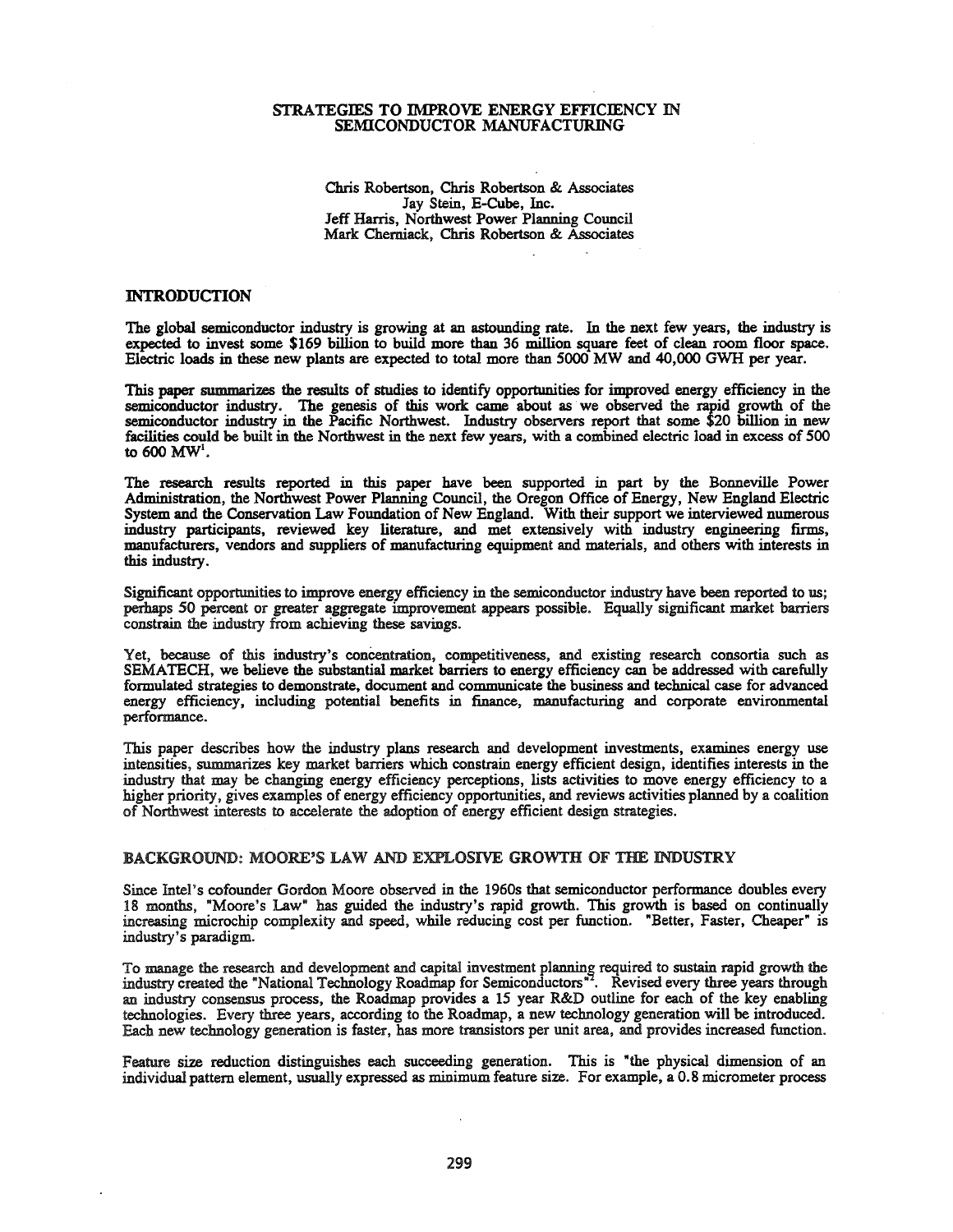### STRATEGlES TO IMPROVE ENERGY EFFICIENCY IN SEMICONDUCTOR MANUFACTURING

Chris Robertson, Chris Robertson & Associates Jay Stein, E-Cube, Inc. Jeff Harris, Northwest Power Planning Council Mark Chemiack, Chris Robertson & Associates

## INTRODUCTION

The global semiconductor industry is growing at an astounding rate. In the next few years, the industry is expected to invest some \$169 billion to build more than 36 million square feet of clean room floor space. Electric loads in these new plants are expected to total more than 5000 MW and 40,000 GWH per year.

This paper summarizes the results of studies to identify opportunities for improved energy efficiency in the semiconductor industry. The genesis of this work came about as we observed the rapid growth of the semiconductor industry in the Pacific Northwest. Industry observers report that some \$20 billion in new facilities could be built in the Northwest in the next few years, with a combined electric load in excess of 500 to 600 MW<sup>1</sup>.

The research results reported in this paper have been supported in part by the Bonneville Power Administration, the Northwest Power Planning Council, the Oregon Office of Energy, New England Electric System and the Conservation Law Foundation of New England. With their support we interviewed numerous industry participants, reviewed key literature, and met extensively with industry engineering firms, manufacturers, vendors and suppliers of manufacturing equipment and materials, and others with interests in this industry.

Significant opportunities to improve energy efficiency in the semiconductor industry have been reported to us; perhaps 50 percent or greater aggregate improvement appears possible. Equally significant market barriers constrain the industry from achieving these savings.

Yet, because of this industry's concentration, competitiveness, and existing research consortia such as SEMATECH, we believe the substantial market barriers to energy efficiency can be addressed with carefully formulated strategies to demonstrate, document and communicate the business and technical case for advanced energy efficiency, including potential benefits in finance, manufacturing and corporate environmental performance.

This paper describes how the industry plans research and development investments, examines energy use intensities, summarizes key market barriers which constrain energy efficient design, identifies interests in the industry that may be changing energy efficiency perceptions, lists activities to move energy efficiency to a higher priority, gives examples of energy efficiency opportunities, and reviews activities planned by a coalition of Northwest interests to accelerate the adoption of energy efficient design strategies.

### BACKGROUND: MOORE'S LAW AND EXPLOSIVE GROWTH OF THE INDUSTRY

Since Intel's cofounder Gordon Moore observed in the 19608 that semiconductor performance doubles every 18 months, "Moore's Law" has guided the industry's rapid growth. This growth is based on continually increasing microchip complexity and speed, while reducing cost per function. "Better, Faster, Cheaper" is industry's paradigm.

To manage the research and development and capital investment planning required to sustain rapid growth the industry crested the "National Technology Roadmap for Semiconductors". Revised every three years through an industry consensus process, the Roadmap provides a 15 year R&D outline for each of the key enabling technologies. Every three years, according to the Roadmap, a new technology generation will be introduced. Each new technology generation is faster, has more transistors per unit area, and provides increased function.

Feature size reduction distinguishes each succeeding generation. This is "the physical dimension of an individual pattern element, usually expressed as minimum feature size. For example, a 0.8 micrometer process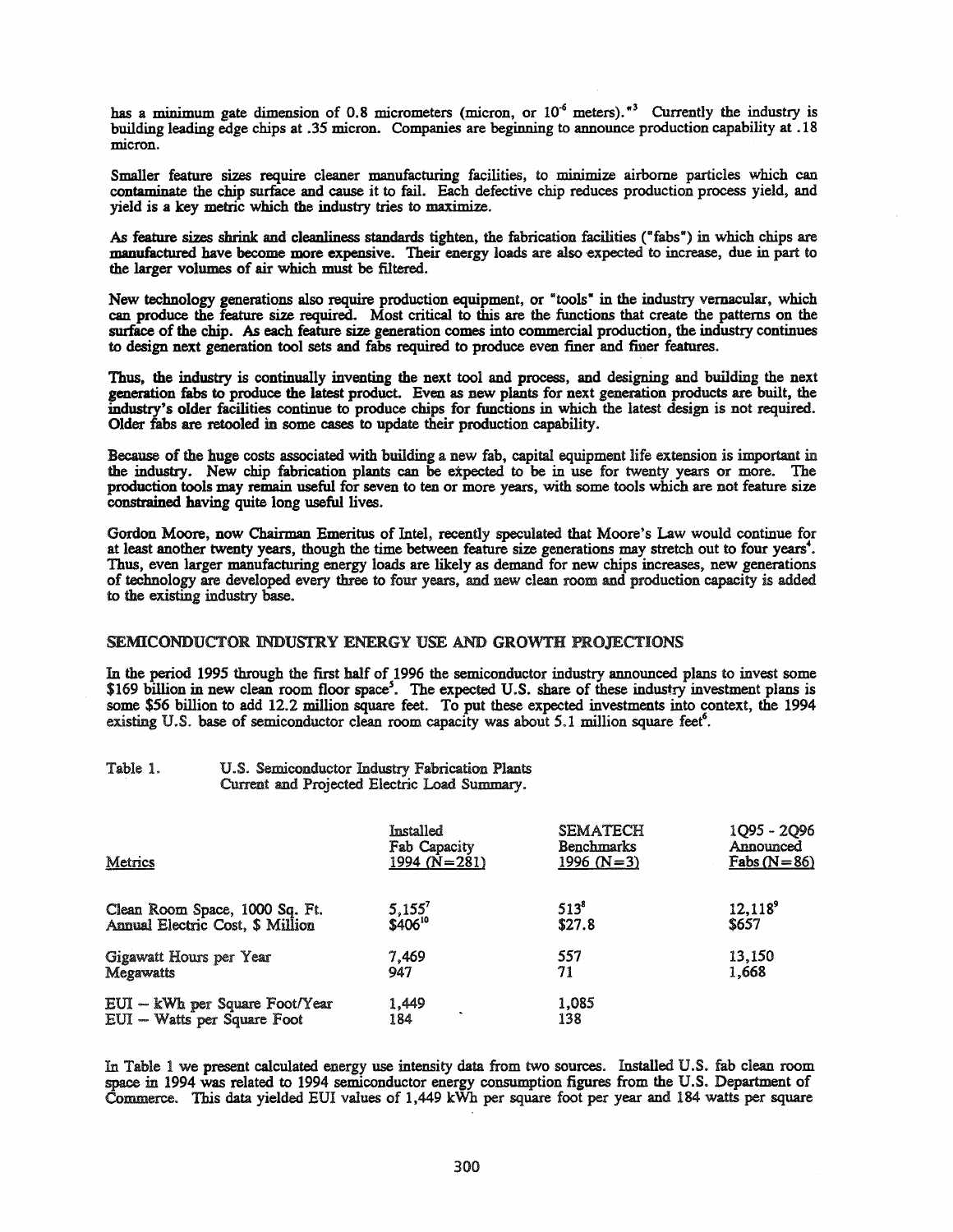has a minimum gate dimension of 0.8 micrometers (micron, or  $10^{-6}$  meters).<sup>43</sup> Currently the industry is building leading edge chips at .35 micron. Companies are beginning to announce production capability at .18 micron.

Smaller feature sizes require cleaner manufacturing facilities, to minimize airborne particles which can contaminate the chip surface and cause it to fail. Each defective chip reduces production process yield, and yield is a key metric which the industry tries to maximize.

As feature sizes shrink and cleanliness standards tighten, the fabrication facilities ("fabs") in which chips are manufactured have become more expensive. Their energy loads are also expected to increase, due in part to the larger volumes of air which must be filtered.

New technology generations also require production equipment, or "tools" in the industry vernacular, which can produce the feature size required. Most critical to this are the functions that create the patterns on the surface of the chip. As each feature size generation comes into commercial production, the industry continues to design next generation tool sets and fabs required to produce even finer and finer features.

Thus, the industry is continually inventing the next tool and process, and designing and building the next generation fabs to produce the latest product. Even as new plants for next generation products are built, the industry's older facilities continue to produce chips for functions in which the latest design is not required. Older fabs are retooled in some cases to update their production capability.

Because of the huge costs associated with building a new fab, capital equipment life extension is important in the industry. New chip fabrication plants can be expected to be in use for twenty years or more. The production tools may remain useful for seven to ten or more years, with some tools which are not feature size constrained having quite long useful lives.

Gordon Moore, now Chairman Emeritus of Intel, recently speculated that Moore's Law would continue for at least another twenty years, though the time between feature size generations may stretch out to four years·. Thus, even larger manufacturing energy loads are likely as demand for new chips increases, new generations of technology are developed every three to four years, and new clean room and production capacity is added to the existing industry base.

## SEMICONDUCTOR INDUSTRY ENERGY USE AND GROWTH PROJECTIONS

In the period 1995 through the first half of 1996 the semiconductor industry announced plans to invest some \$169 billion in new clean room floor space<sup>5</sup>. The expected U.S. share of these industry investment plans is some \$56 billion to add 12.2 million square feet. To put these expected investments into context, the 1994 existing U.S. base of semiconductor clean room capacity was about 5.1 million square feet<sup>6</sup>.

| Table 1. | U.S. Semiconductor Industry Fabrication Plants |  |
|----------|------------------------------------------------|--|
|          | Current and Projected Electric Load Summary.   |  |

| Metrics                          | Installed                        | <b>SEMATECH</b>   | 1Q95 - 2Q96   |
|----------------------------------|----------------------------------|-------------------|---------------|
|                                  | Fab Capacity                     | <b>Benchmarks</b> | Announced     |
|                                  | 1994 ( $N = 281$ )               | 1996 (N=3)        | Fabs $(N=86)$ |
| Clean Room Space, 1000 Sq. Ft.   | $5,155^7$<br>\$406 <sup>10</sup> | $513^8$           | $12,118^9$    |
| Annual Electric Cost, \$ Million |                                  | \$27.8            | \$657         |
| Gigawatt Hours per Year          | 7.469                            | 557               | 13,150        |
| <b>Megawatts</b>                 | 947                              | 71                | 1,668         |
| EUI - kWh per Square Foot/Year   | 1,449                            | 1,085             |               |
| EUI - Watts per Square Foot      | 184                              | 138               |               |

In Table 1 we present calculated energy use intensity data from two sources. Installed U.S. fab clean room space in 1994 was related to 1994 semiconductor energy consumption figures from the U.S. Department of Commerce. This data yielded EUI values of 1,449 kWh per square foot per year and 184 watts per square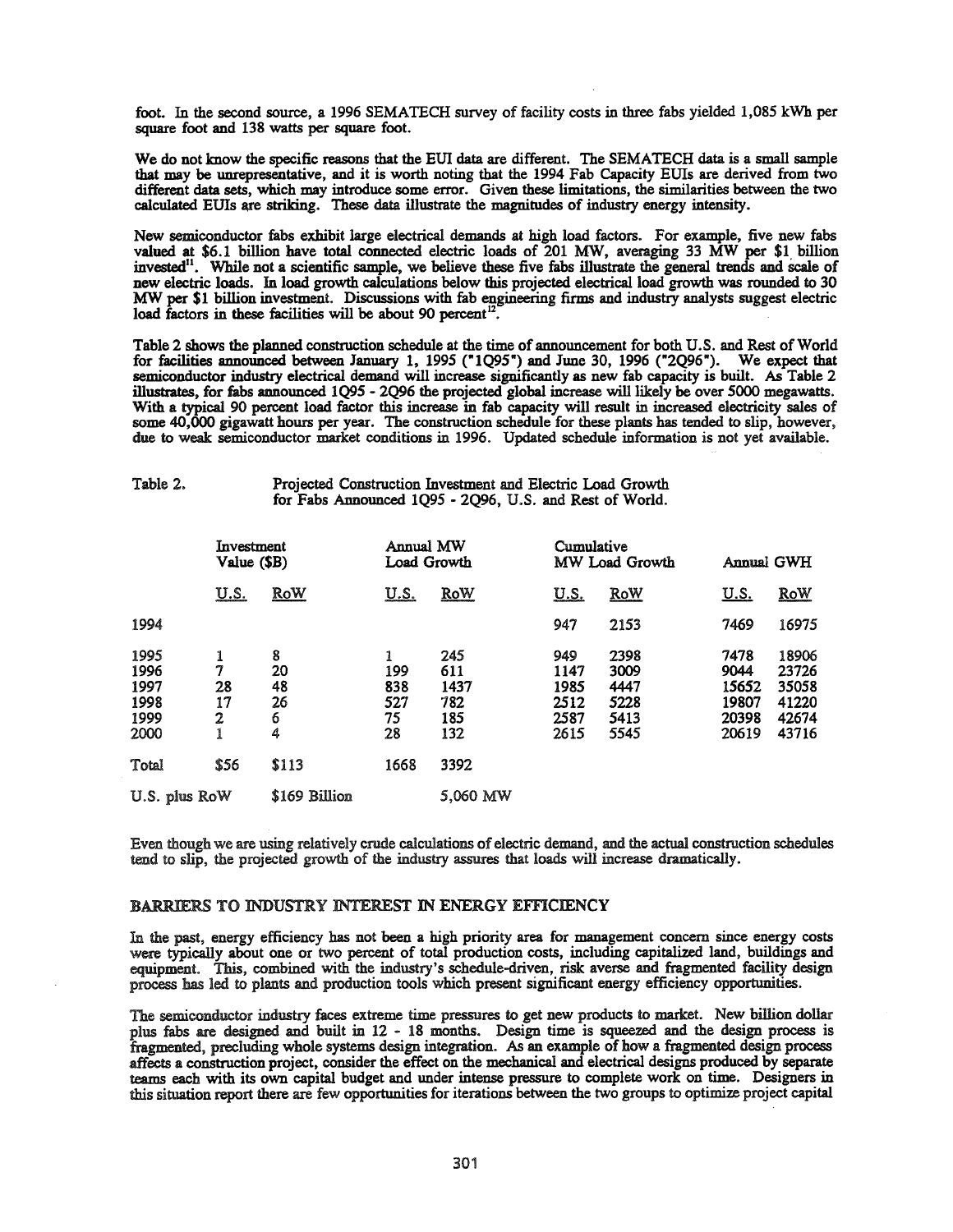foot. In the second source, a 1996 SEMATECH survey of facility costs in three fabs yielded 1,085 kWh per square foot and 138 watts per square foot.

We do not know the specific reasons that the EUI data are different. The SEMATECH data is a small sample that may be unrepresentative, and it is worth noting that the 1994 Fab Capacity EUIs are derived from two different data sets, which may introduce some error. Given these limitations, the similarities between the two calculated EUIs are striking. These data illustrate the magnitudes of industry energy intensity.

New semiconductor fabs exhibit large electrical demands at high load factors. For example, five new fabs valued at \$6.1 billion have total connected electric loads of 201 MW, averaging 33 MW per \$1 billion invested". While not a scientific sample, we believe these five fabs illustrate the general trends and scale of new electric loads. In load growth calculations below this projected electrical load growth was rounded to 30 MW per \$1 billion investment. Discussions with fab engineering firms and industry analysts suggest electric load factors in these facilities will be about 90 percent<sup>12</sup>.

Table 2 shows the planned construction schedule at the time of announcement for both U.S. and Rest ofWorld for facilities announced between January 1, 1995 ("1095") and June 30, 1996 ("2096"). We expect that semiconductor industry electrical demand will increase significantly as new fab capacity is built. As Table 2 illustrates, for fabs announced 1095 - 2096 the projected global increase will likely be over 5000 megawatts. With a typical 90 percent load factor this increase in fab capacity will result in increased electricity sales of some 40,000 gigawatt hours per year. The construction schedule for these plants has tended to slip, however, due to weak semiconductor market conditions in 1996. Updated schedule information is not yet available.

#### Table 2. Projected Construction Investment and Electric Load Growth for Fabs Announced 1095 - 2096, U.S. and Rest of World.

|                                              | Investment<br>Value (\$B) |                               |                               | Annual MW<br>Load Growth                |                                             | Cumulative<br>MW Load Growth                 |                                                  | <b>Annual GWH</b>                                  |  |
|----------------------------------------------|---------------------------|-------------------------------|-------------------------------|-----------------------------------------|---------------------------------------------|----------------------------------------------|--------------------------------------------------|----------------------------------------------------|--|
|                                              | <u>U.S.</u>               | <b>RoW</b>                    | <u>U.S.</u>                   | <b>RoW</b>                              | <u>U.S.</u>                                 | <b>RoW</b>                                   | <u>U.S.</u>                                      | <b>RoW</b>                                         |  |
| 1994                                         |                           |                               |                               |                                         | 947                                         | 2153                                         | 7469                                             | 16975                                              |  |
| 1995<br>1996<br>1997<br>1998<br>1999<br>2000 | 7<br>28<br>17<br>2<br>1   | 8<br>20<br>48<br>26<br>6<br>4 | 199<br>838<br>527<br>75<br>28 | 245<br>611<br>1437<br>782<br>185<br>132 | 949<br>1147<br>1985<br>2512<br>2587<br>2615 | 2398<br>3009<br>4447<br>5228<br>5413<br>5545 | 7478<br>9044<br>15652<br>19807<br>20398<br>20619 | 18906<br>23726<br>35058<br>41220<br>42674<br>43716 |  |
| Total                                        | \$56                      | \$113                         | 1668                          | 3392                                    |                                             |                                              |                                                  |                                                    |  |
| U.S. plus RoW                                |                           | \$169 Billion                 |                               | 5,060 MW                                |                                             |                                              |                                                  |                                                    |  |

Even though we are using relatively crude calculations of electric demand, and the actual construction schedules tend to slip, the projected growth of the industry assures that loads will increase dramatically.

### BARRIERS TO INDUSTRY INTEREST IN ENERGY EFFICIENCY

In the past, energy efficiency has not been a high priority area for management concern since energy costs were typically about one or two percent of total production costs, including capitalized land, buildings and equipment. This, combined with the industry's schedule-driven, risk averse and fragmented facility design process has led to plants and production tools which present significant energy efficiency opportunities.

The semiconductor industry faces extreme time pressures to get new products to market. New billion dollar plus fabs are designed and built in 12 - 18 months. Design time is squeezed and the design process is fragmented, precluding whole systems design integration. As an example of how a fragmented design process affects a construction project, consider the effect on the mechanical and electrical designs produced by separate teams each with its own capital budget and under intense pressure to complete work on time. Designers in this situation report there are few opportunities for iterations between the two groups to optimize project capital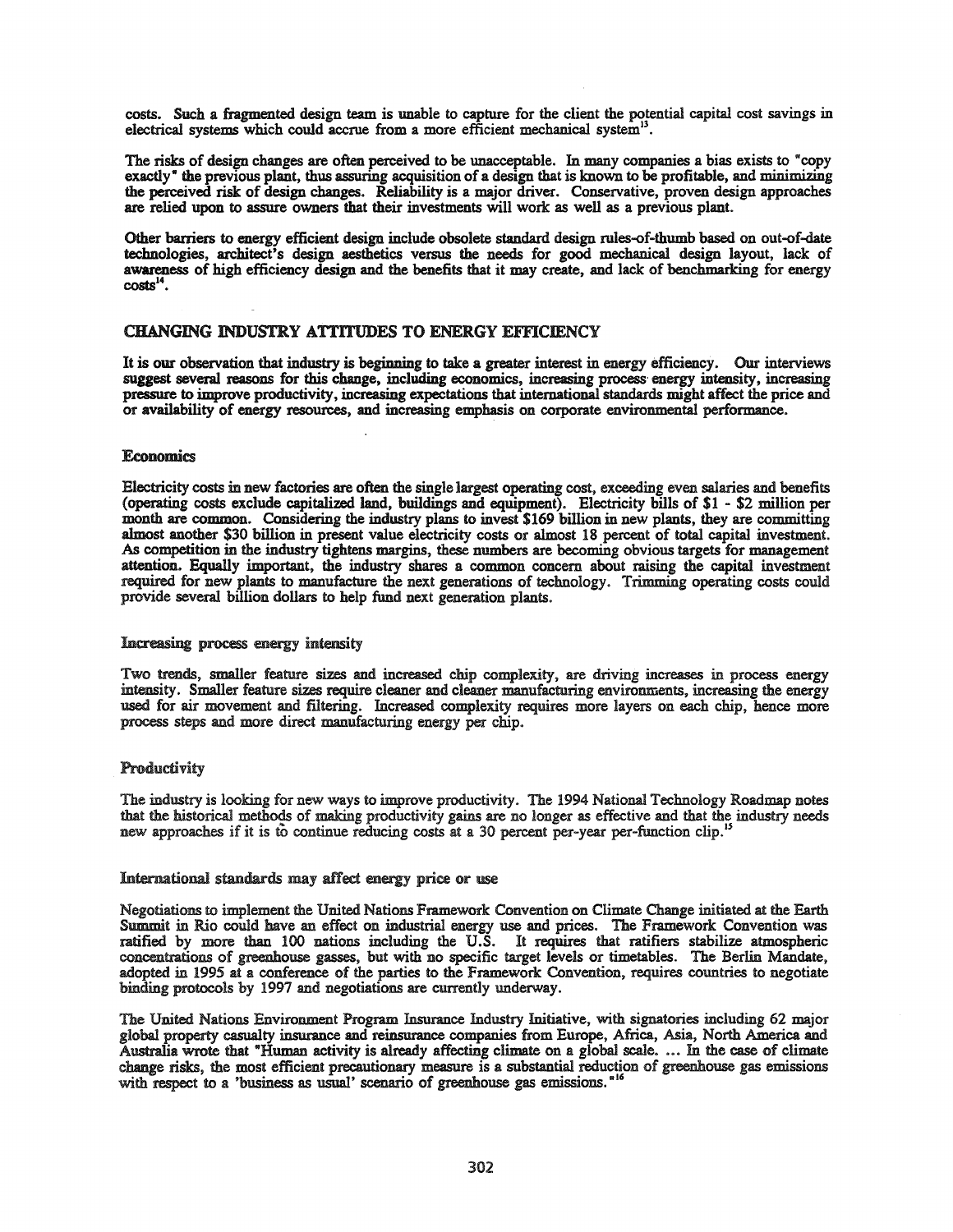costs. Such a fragmented design team is unable to capture for the client the potential capital cost savings in electrical systems which could accrue from a more efficient mechanical system<sup>13</sup>.

The risks of design changes are often perceived to be unacceptable. In many companies a bias exists to "copy exactly" the previous plant, thus assuring acquisition of a design that is known to be profitable, and minimizing the perceived risk of design changes. Reliability is a major driver. Conservative, proven design approaches are relied upon to assure owners that their investments will work as well as a previous plant.

Other barriers to energy efficient design include obsolete standard design rules-of-thumb based on out-of-date technologies, architect's design aesthetics versus the needs for good mechanical design layout, lack of awareness of high efficiency design and the benefits that it may create, and lack of benchmarking for energy  $costs^{14}$ .

## CHANGING INDUSTRY ATTITUDES TO ENERGY EFFICIENCY

It is our observation that industry is beginning to take a greater interest in energy efficiency. Our interviews suggest several reasons for this change, including economics, increasing process energy intensity, increasing pressure to improve productivity, increasing expectations that international standards might affect the price and or availability of energy resources, and increasing emphasis on corporate environmental performance.

## **Economics**

Electricity costs in new factories are often the single largest operating cost, exceeding even salaries and benefits (operating costs exclude capitalized land, buildings and equipment). Electricity bills of \$1 - \$2 million per month are common. Considering the industry plans to invest \$169 billion in new plants, they are committing almost another \$30 billion in present value electricity costs or almost 18 percent of total capital investment. As competition in the industry tightens margins, these numbers are becoming obvious targets for management attention. Equally important, the industry shares a common concern about raising the capital investment required for new plants to manufacture the next generations of technology. Trimming operating costs could provide several billion dollars to help fund next generation plants.

## Increasing process energy intensity

Two trends, smaller feature sizes and increased chip complexity, are driving increases in process energy intensity. Smaller feature sizes require cleaner and cleaner manufacturing environments, increasing the energy used for air movement and filtering. Increased complexity requires more layers on each chip, hence more process steps and more direct manufacturing energy per chip.

## **Productivity**

The industry is looking for new ways to improve productivity. The 1994 National Technology Roadmap notes that the historical methods of making productivity gains are no longer as effective and that the industry needs new approaches if it is to continue reducing costs at a 30 percent per-year per-function clip.<sup>1</sup>

### International standards may affect energy price or use

Negotiations to implement the United Nations Framework Convention on Climate Change initiated at the Earth Summit in Rio could have an effect on industrial energy use and prices. The Framework Convention was ratified by more than 100 nations including the U.S. It requires that ratifiers stabilize atmospheric concentrations of greenhouse gasses, but with no specific target levels or timetables. The Berlin Mandate, adopted in 1995 at a conference of the parties to the Framework Convention, requires countries to negotiate binding protocols by 1997 and negotiations are currently underway.

The United Nations Environment Program Insurance Industry Initiative, with signatories including 62 major global property casualty insurance and reinsurance companies from Europe, Africa, Asia, North America and Australia wrote that "Human activity is already affecting climate on a global scale. ... In the case of climate change risks, the most efficient precautionary measure is a substantial reduction of greenhouse gas emissions with respect to a 'business as usual' scenario of greenhouse gas emissions."<sup>16</sup>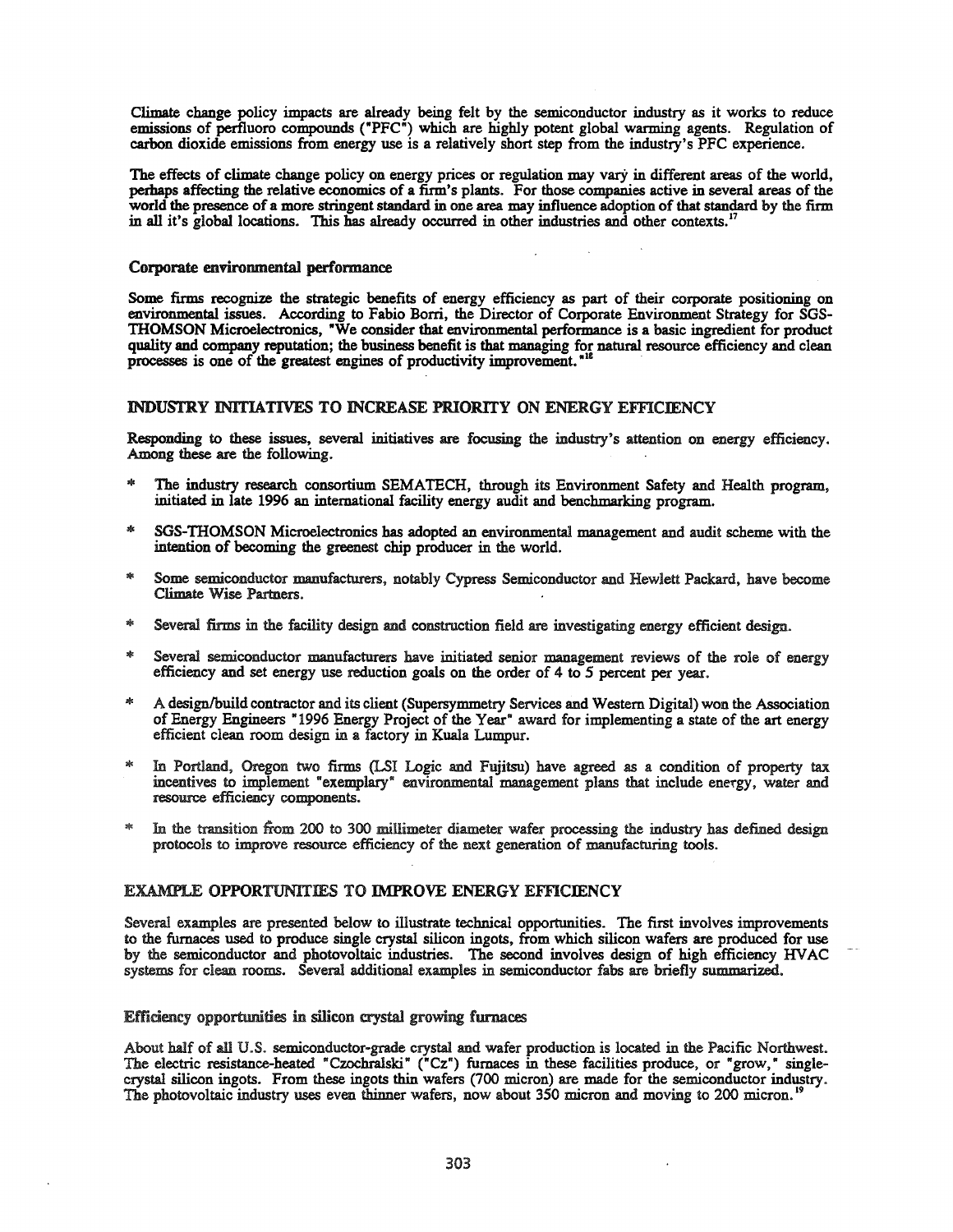Climate change policy impacts are already being felt by the semiconductor industry as it works to reduce emissions of perfluoro compounds ("PFC") which are highly potent global warming agents. Regulation of carbon dioxide emissions from energy use is a relatively short step from the industry's PFC experience.

The effects of climate change policy on energy prices or regulation may vary in different areas of the world, perhaps affecting the relative economics of a firm's plants. For those companies active in several areas of the world the presence of a more stringent standard in one area may influence adoption of that standard by the firm in all it's global locations. This has already occurred in other industries and other contexts.<sup>17</sup>

## Corporate environmental performance

Some firms recognize the strategic benefits of energy efficiency as part of their corporate positioning on environmental issues. According to Fabio Borri, the Director of Corporate Environment Strategy for SGS-THOMSON Microelectronics, "We consider that environmental performance is a basic ingredient for product quality and company reputation; the business benefit is that managing for natural resource efficiency and clean processes is one of the greatest engines of productivity improvement.<sup>"12</sup>

## INDUSTRY INITIATIVES TO INCREASE PRIORITY ON ENERGY EffiCIENCY

Responding to these issues, several initiatives are focusing the industry's attention on energy efficiency. Among these are the following.

- The industry research consortium SEMATECH, through its Environment Safety and Health program, initiated in late 1996 an international facility energy audit and benchmarking program.
- SGS-THOMSON Microelectronics has adopted an environmental management and audit scheme with the intention of becoming the greenest chip producer in the world.
- Some semiconductor manufacturers, notably Cypress Semiconductor and Hewlett Packard, have become Climate Wise Partners.
- Several firms in the facility design and construction field are investigating energy efficient design.
- Several semiconductor manufacturers have initiated senior management reviews of the role of energy efficiency and set energy use reduction goals on the order of 4 to 5 percent per year.
- \* A design/build contractor and its client (Supersymmetry Services and Western Digital) won the Association of Energy Engineers "1996 Energy Project of the Year" award for implementing a state of the art energy efficient clean room design in a factory in Kuala Lumpur.
- \* In Portland, Oregon two firms (LSI Logic and Fujitsu) have agreed as a condition of property tax incentives to implement "exemplary" environmental management plans that include energy, water and resource efficiency components.
- In the transition from 200 to 300 millimeter diameter wafer processing the industry has defined design protocols to improve resource efficiency of the next generation of manufacturing tools.

## EXAMPLE OPPORTUNITIES TO IMPROVE ENERGY EFFICIENCY

Several examples are presented below to illustrate technical opportunities. The first involves improvements to the furnaces used to produce single crystal silicon ingots, from which silicon wafers are produced for use by the semiconductor and photovoltaic industries. The second involves design of high efficiency HVAC systems for clean rooms. Several additional examples in semiconductor fabs are briefly summarized.

## Efficiency opportunities in silicon crystal growing furnaces

About half of all U.S. semiconductor-grade crystal and wafer production is located in the Pacific Northwest. The electric resistance-heated "Czochralski" ("Cz") furnaces in these facilities produce, or "grow," singlecrystal silicon ingots. From these ingots thin wafers (700 micron) are made for the semiconductor industry. The photovoltaic industry uses even thinner wafers, now about 350 micron and moving to 200 micron.<sup>19</sup>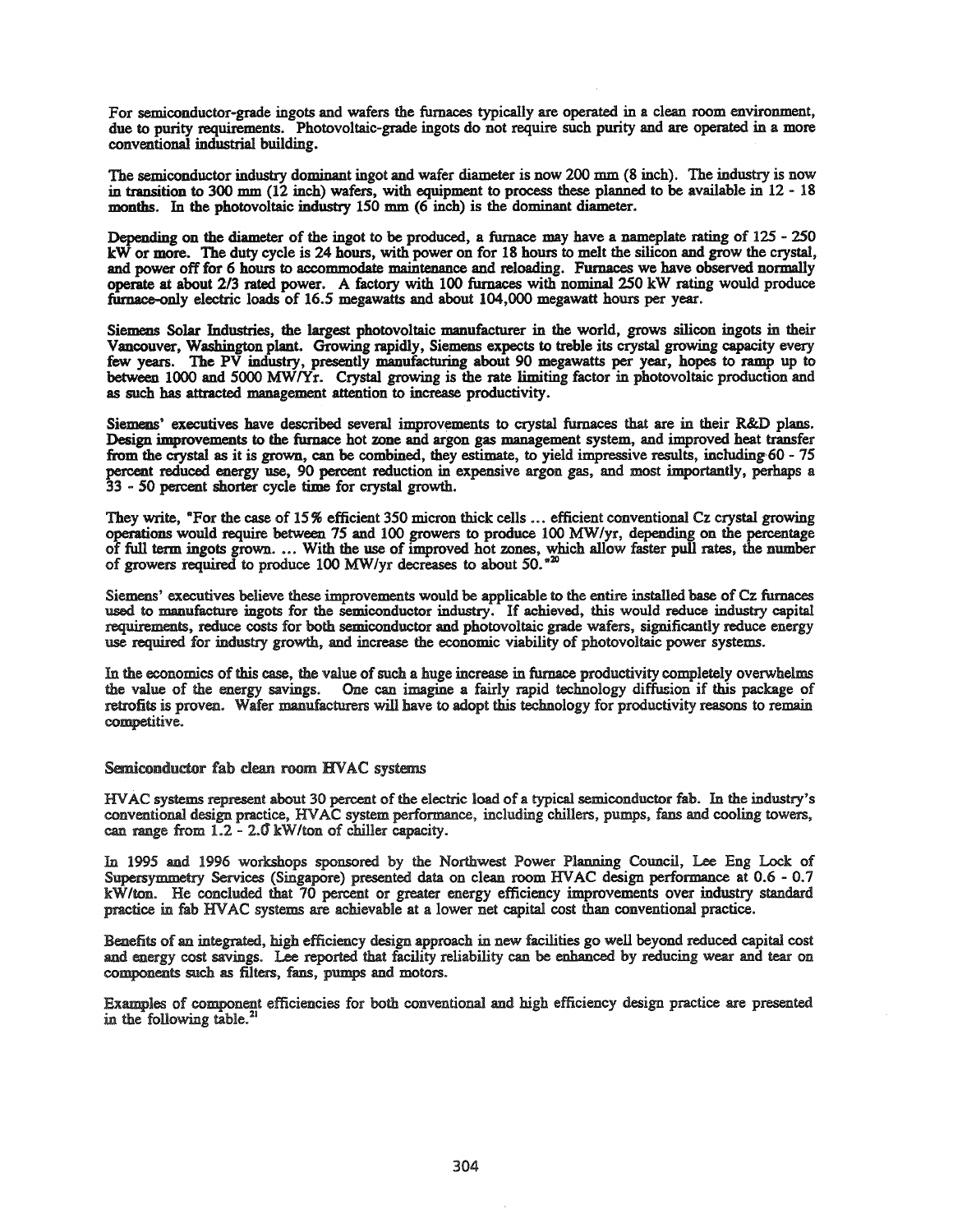For semiconductor-grade ingots and wafers the furnaces typically are operated in a clean room environment, due to purity requirements. Photovoltaic-grade ingots do not require such purity and are operated in a more conventional industrial building.

The semiconductor industry dominant ingot and wafer diameter is now 200 mm (8 inch). The industry is now in transition to 300 mm (12 inch) wafers, with equipment to process these planned to be available in 12 - 18 months. In the photovoltaic industry 150 mm (6 inch) is the dominant diameter.

Depending on the diameter of the ingot to be produced, a furnace may have a nameplate rating of 125 - 250 kW or more. The duty cycle is 24 hours, with power on for 18 hours to melt the silicon and grow the crystal, and power off for 6 hours to accommodate maintenance and reloading. Furnaces we have observed normally **operate** at about *2/3* rated power. A factory with 100 furnaces with nominal 250 kW rating would produce fumace-only electric loads of 16.5 megawatts and about 104,000 megawatt hours per year.

Siemens Solar Industries, the largest photovoltaic manufacturer in the world, grows silicon ingots in their Vancouver, Washington plant. Growing rapidly, Siemens expects to treble its crystal growing capacity every few years. The PV industry, presently manufacturing about **90** megawatts per year, hopes to ramp up to between 1000 and 5000 MWlYr. Crystal growing is the rate limiting factor in photovoltaic production and as such has attracted management attention to increase productivity.

Siemens' executives have described several improvements to crystal furnaces that are in their R&D plans. Design improvements to the furnace hot zone and argon gas management system, and improved heat transfer from the crystal as it is grown, can be combined, they estimate, to yield impressive results, including·60 - 75 percent reduced energy use, **90** percent reduction in expensive argon gas, and most importantly, perhaps a 33 - 50 percent shorter cycle time for crystal growth.

They write, "For the case of 15% efficient 350 micron thick cells ... efficient conventional Cz crystal growing operations would require between 75 and 100 growers to produce 100 *MW/yr,* depending on the percentage of full term ingots grown.... With the use of improved hot zones, which allow faster pull rates, the number of growers required to produce 100 MW/yr decreases to about 50.<sup>\*20</sup>

Siemens' executives believe these improvements would be applicable to the entire installed base of Cz furnaces used to manufacture ingots for the semiconductor industry. If achieved, this would reduce industry capital requirements, reduce costs for both semiconductor and photovoltaic grade wafers, significantly reduce energy use required for industry growth, and increase the economic viability of photovoltaic power systems.

In the economics of this case, the value of such a huge increase in furnace productivity completely overwhelms the value of the energy savings. One can imagine a fairly rapid technology diffusion if this package of retrofits is proven. Wafer manufacturers will have to adopt this technology for productivity reasons to remain competitive.

Semiconductor fab clean room HVAC systems

HVAC systems represent about 30 percent of the electric load of a typical semiconductor fab. In the industry's conventional design practice, HVAC system performance, including chillers, pumps, fans and cooling towers, can range from 1.2 - *2.0' kWlton* of chiller capacity.

In 1995 and 1996 workshops sponsored by the Northwest Power Planning Council, Lee Eng Lock of Supersymmetry Services (Singapore) presented data on clean room HVAC design performance at 0.6 - 0.7 kW*lton.* He concluded that 70 percent or greater energy efficiency improvements over industry standard practice in tab HVAC systems are achievable at a lower net capital cost than conventional practice.

Benefits of an integrated, high efficiency design approach in new facilities go well beyond reduced capital cost and energy cost savings. Lee reported that facility reliability can be enhanced by reducing wear and tear on components such as filters, fans, pumps and motors.

Examples of component efficiencies for both conventional and high efficiency design practice are presented in the following table. $^{21}$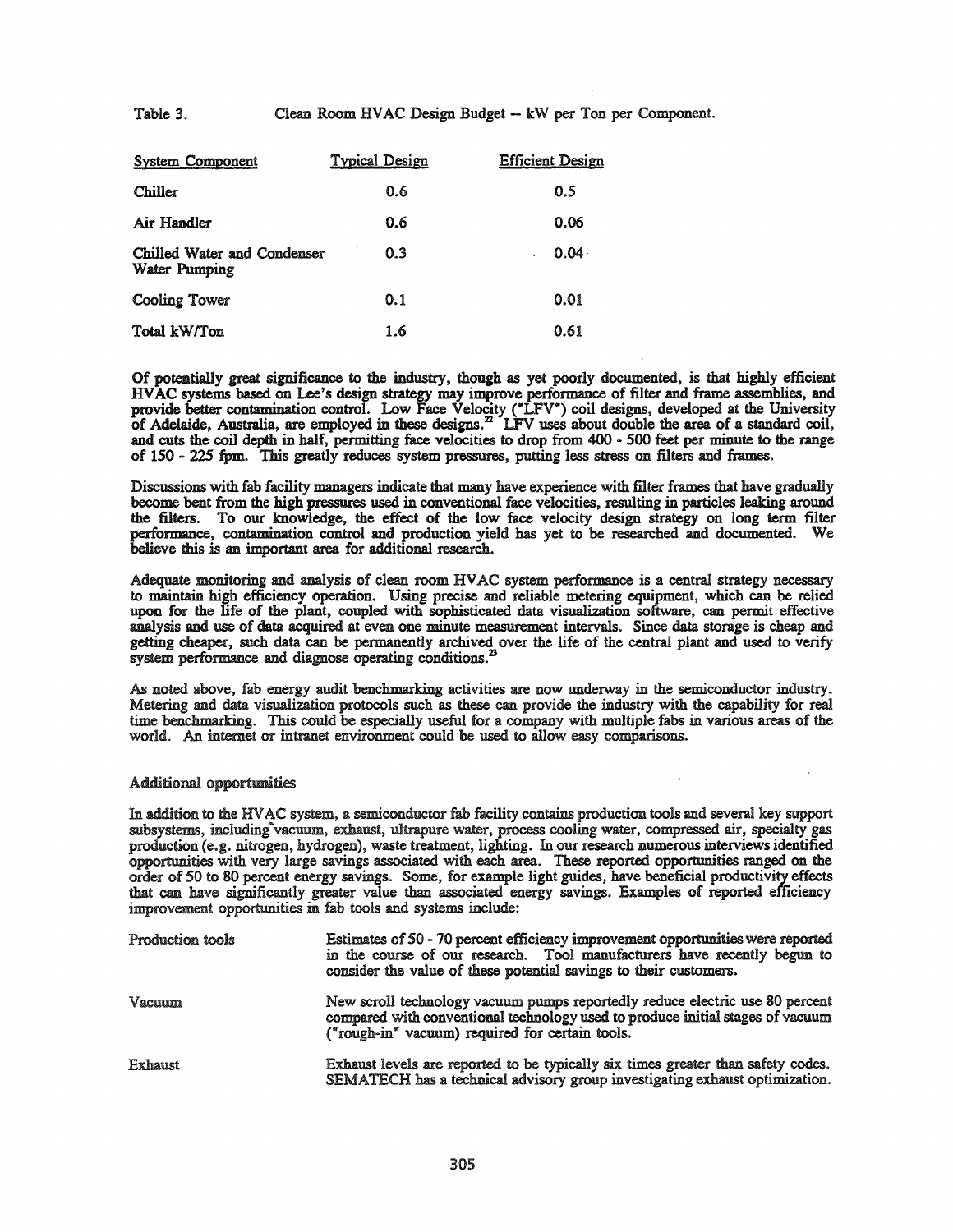Table 3. Clean Room HVAC Design Budget - kW per Ton per Component.

| <b>System Component</b>                             | <b>Typical Design</b> | <b>Efficient Design</b> |
|-----------------------------------------------------|-----------------------|-------------------------|
| <b>Chiller</b>                                      | 0.6                   | 0.5                     |
| Air Handler                                         | 0.6                   | 0.06                    |
| Chilled Water and Condenser<br><b>Water Pumping</b> | 0.3                   | $0.04 -$                |
| <b>Cooling Tower</b>                                | 0.1                   | 0.01                    |
| Total kW/Ton                                        | 1.6                   | 0.61                    |

Of potentially great significance to the industry, though as yet poorly documented, is that highly efficient HVAC systems based on Lee's design strategy may improve performance of filter and frame assemblies, and provide better contamination control. Low Face Velocity ("LFV") coil designs, developed at the University of Adelaide, Australia, are employed in these designs.<sup>22</sup> LFV uses about double the area of a standard coil, and cuts the coil depth in half, permitting face velocities to drop from 400 - 500 feet per minute to the range of 150 - 225 fpm. This greatly reduces system pressures, putting less stress on filters and frames.

Discussions with fab facility managers indicate that many have experience with filter frames that have gradually become bent from the high pressures used in conventional face velocities, resulting in particles leaking around the filters. To our knowledge, the effect of the low face velocity design strategy on long term filter performance, contamination control and production yield has yet to be researched and documented. We believe this is an important area for additional research.

Adequate monitoring and analysis of clean room HVAC system performance is a central strategy necessary to maintain high efficiency operation. Using precise and reliable metering equipment, which can be relied upon for the life of the plant, coupled with sophisticated data visualization software, can permit effective analysis and use of data acquired at even one minute measurement intervals. Since data storage is cheap and getting cheaper, such data can be permanently archived over the life of the central plant and used to verify system performance and diagnose operating conditions.<sup>23</sup>

As noted above, fab energy audit benchmarking activities are now underway in the semiconductor industry. Metering and data visualization protocols such as these can provide the industry with the capability for real time benchmarking. This could be especially useful for a company with multiple fabs in various areas of the world. An internet or intranet environment could be used to allow easy comparisons.

### Additional opportunities

In addition to the HVAC system, a semiconductor fab facility contains production tools and several key support subsystems, including vacuum, exhaust, ultrapure water, process cooling water, compressed air, specialty gas production (e.g. nitrogen, hydrogen), waste treatment, lighting. In our research numerous interviews identified opportunities with very large savings associated with each area. These reported opportunities ranged on the order of SO to 80 percent energy savings. Some, for example light guides, have beneficial productivity effects that can have significantly greater value than associated energy savings. Examples of reported efficiency improvement opportunities in fab tools and systems include:

| Production tools | Estimates of 50 - 70 percent efficiency improvement opportunities were reported<br>in the course of our research. Tool manufacturers have recently begun to<br>consider the value of these potential savings to their customers. |
|------------------|----------------------------------------------------------------------------------------------------------------------------------------------------------------------------------------------------------------------------------|
| Vacuum           | New scroll technology vacuum pumps reportedly reduce electric use 80 percent<br>compared with conventional technology used to produce initial stages of vacuum<br>("rough-in" vacuum) required for certain tools.                |
| Exhaust          | Exhaust levels are reported to be typically six times greater than safety codes.<br>SEMATECH has a technical advisory group investigating exhaust optimization.                                                                  |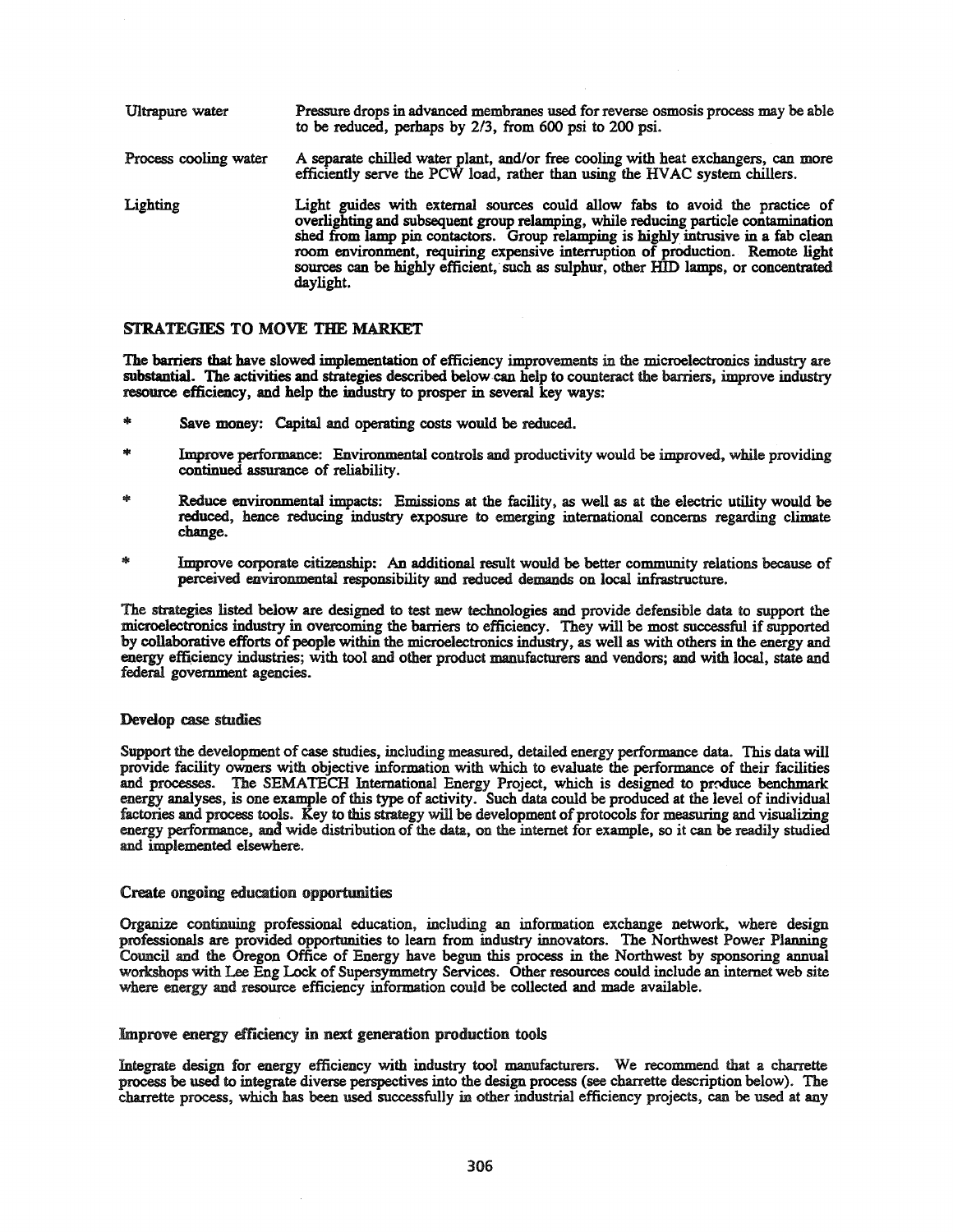| Ultrapure water       | Pressure drops in advanced membranes used for reverse osmosis process may be able<br>to be reduced, perhaps by 2/3, from 600 psi to 200 psi.                                                                                                                                                                                                                                                                                                 |
|-----------------------|----------------------------------------------------------------------------------------------------------------------------------------------------------------------------------------------------------------------------------------------------------------------------------------------------------------------------------------------------------------------------------------------------------------------------------------------|
| Process cooling water | A separate chilled water plant, and/or free cooling with heat exchangers, can more<br>efficiently serve the PCW load, rather than using the HVAC system chillers.                                                                                                                                                                                                                                                                            |
| Lighting              | Light guides with external sources could allow fabs to avoid the practice of<br>overlighting and subsequent group relamping, while reducing particle contamination<br>shed from lamp pin contactors. Group relamping is highly intrusive in a fab clean<br>room environment, requiring expensive interruption of production. Remote light<br>sources can be highly efficient, such as sulphur, other HID lamps, or concentrated<br>daylight. |

## STRATEGIES TO MOVE THE MARKET

The barriers that have slowed implementation of efficiency improvements in the microelectronics industry are substantial. The activities and strategies described below can help to counteract the barriers, improve industry resource efficiency, and help the industry to prosper in several key ways:

- Save money: Capital and operating costs would be reduced.
- Improve performance: Environmental controls and productivity would be improved, while providing continued assurance of reliability.
- Reduce environmental impacts: Emissions at the facility, as well as at the electric utility would be reduced, hence reducing industry exposure to emerging international concerns regarding climate change.
- sk: Improve corporate citizenship: An additional result would be better community relations because of perceived environmental responsibility and reduced demands on local infrastructure.

The strategies listed below are designed to test new technologies and provide defensible data to support the microelectronics industry in overcoming the barriers to efficiency. They will be most successful ifsupported by collaborative efforts of people within the microelectronics industry, as well as with others in the energy and energy efficiency industries; with tool and other product manufacturers and vendors; and with local, state and federal government agencies.

## Develop case studies

Support the development of case studies, including measured, detailed energy performance data. This data will provide facility owners with objective information with which to evaluate the performance of their facilities and processes. The SEMATECH International Energy Project, which is designed to produce benchmark energy analyses, is one example of this type of activity. Such data could be produced at the level of individual factories and process tools. Key to this strategy will be development of protocols for measuring and visualizing energy performance, and wide distribution of the data, on the internet for example, so it can be readily studied and implemented elsewhere.

### Create ongoing education opportunities

Organize continuing professional education, including an information exchange network, where design professionals are provided opportunities to learn from industry innovators. The Northwest Power Planning Council and the Oregon Office of Energy have begun this process in the Northwest by sponsoring annual workshops with Lee Eng Lock of Supersymmetry Services. Other resources could include an internet web site where energy and resource efficiency information could be collected and made available.

### Improve energy efficiency in next generation production tools

Integrate design for energy efficiency with industry tool manufacturers. We recommend that a charrette process be used to integrate diverse perspectives into the design process (see charrette description below). The charrette process, which has been used successfully in other industrial efficiency projects, can be used at any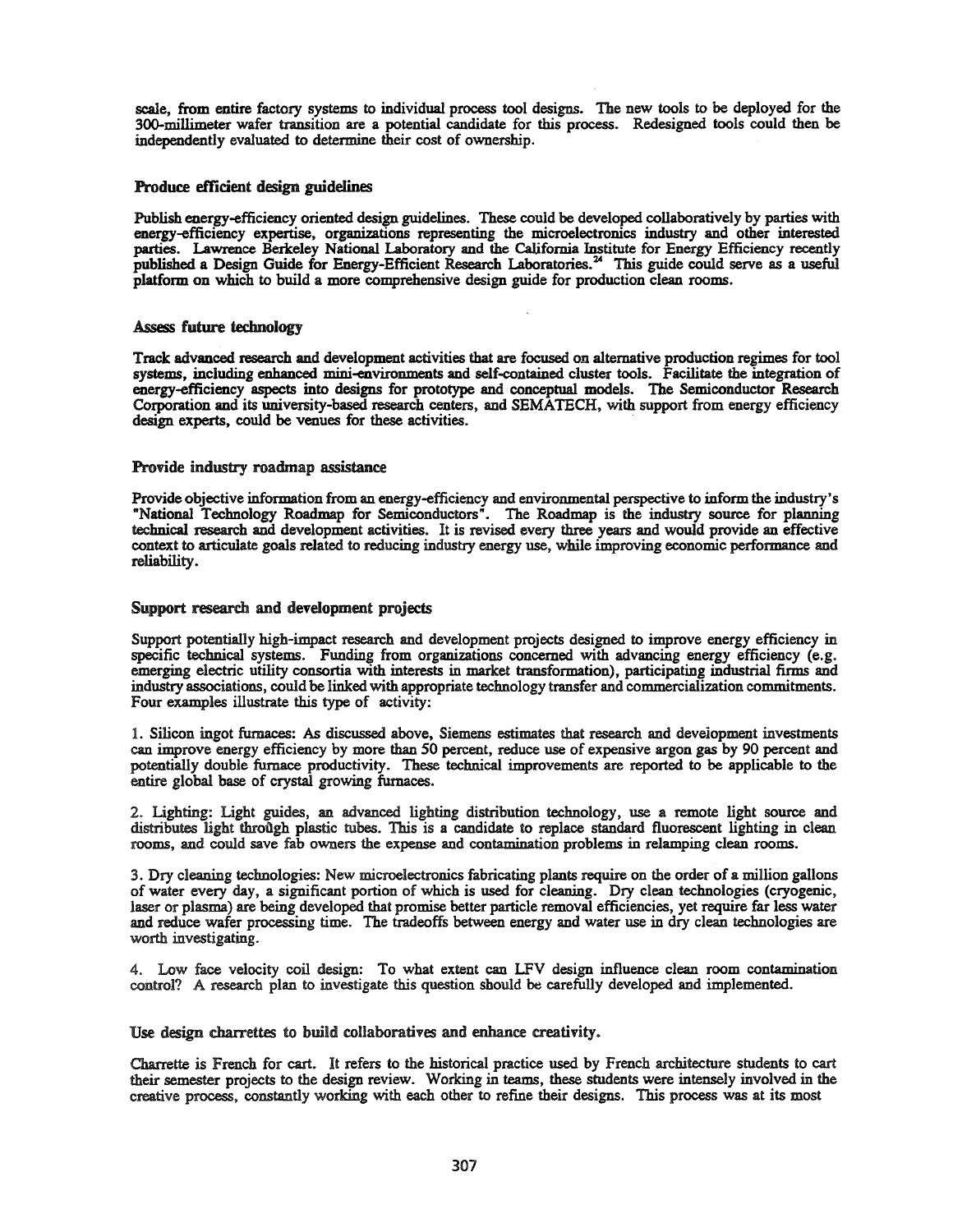scale, from entire factory systems to individual process tool designs. The new tools to be deployed for the 3QO-millimeter wafer transition are a potential candidate for this process. Redesigned tools could then be independently evaluated to determine their cost of ownership.

# Produce efficient design guidelines

Publish energy-efficiency oriented design guidelines. These could be developed collaboratively by parties with energy-efficiency expertise, organizations representing the microelectronics industry and other interested parties. Lawrence Berkeley National Laboratory and the California Institute for Energy Efficiency recently published a Design Guide for Energy-Efficient Research Laboratories. <sup>24</sup> This guide could serve as a useful platform on which to build a more comprehensive design guide for production clean rooms.

## Assess future technology

Track advanced research and development activities that are focused on alternative production regimes for tool systems, including enhanced mini-environments and self-contained cluster tools. Facilitate the integration of energy-efficiency aspects into designs for prototype and conceptual models. The Semiconductor Research Corporation and its university-based research centers, and SEMATECH, with support from energy efficiency design experts, could be venues for these activities.

## Provide industry roadmap assistance

Provide objective information from an energy-efficiency and environmental perspective to inform the industry's "National Technology Roadmap for Semiconductors". The Roadmap is the industry source for planning technical research and development activities. It is revised every three years and would provide an effective context to articulate goals related to reducing industry energy use, while improving economic performance and reliability.

## Support research and development projects

Support potentially high-impact research and development projects designed to improve energy efficiency in specific technical systems. Funding from organizations concerned with advancing energy efficiency (e.g. emerging electric utility consortia with interests in market transformation), participating industrial firms and industry associations, could be linked with appropriate technology transfer and commercialization commitments. Four examples illustrate this type of activity:

1. Silicon ingot furnaces: As discussed above, Siemens estimates that research and deveiopment investments can improve energy efficiency by more than 50 percent, reduce use of expensive argon gas by 90 percent and potentially double furnace productivity. These technical improvements are reported to be applicable to the entire global base of crystal growing furnaces.

2. Lighting: Light guides, an advanced lighting distribution technology, use a remote light source and distributes light through plastic tubes. This is a candidate to replace standard fluorescent lighting in clean rooms, and could save fab owners the expense and contamination problems in relamping clean rooms.

3. Dry cleaning tecbnologies: New microelectronics fabricating plants require on the order of a million gallons of water every day, a significant portion of which is used for cleaning. Dry clean technologies (cryogenic, laser or plasma) are being developed that promise better particle removal efficiencies, yet require far less water and reduce wafer processing time. The tradeoffs between energy and water use in dry clean technologies are worth investigating.

4. Low face velocity coil design: To what extent can LFV design influence clean room contamination control? A research plan to investigate this question should be carefully developed and implemented.

Use design charrettes to build collaboratives and enhance creativity.

Charrette is French for cart. It refers to the historical practice used by French architecture students to cart their semester projects to the design review. Working in teams, these students were intensely involved in the creative process, constantly working with each other to refine their designs. This process was at its most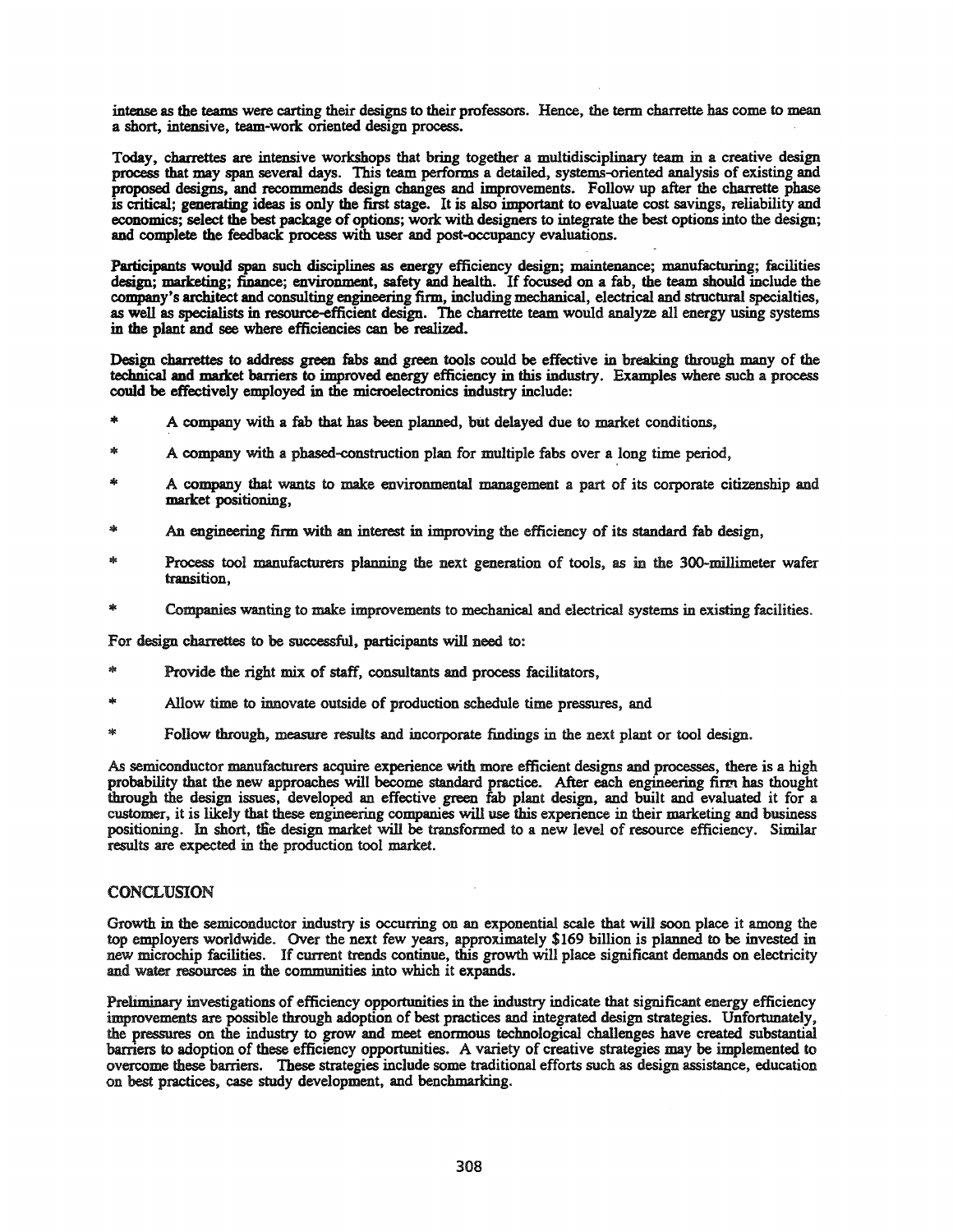intense as the teams were carting their designs to their professors. Hence, the term charrette has come to mean a short, intensive, team-work oriented design process.

Today, charrettes are intensive workshops that bring together a multidisciplinary team in a creative design process that may span several days. This team performs a detailed, systems-oriented analysis of existing and proposed designs, and recommends design changes and improvements. Follow up after the charrette phase is critical; generating ideas is only the first stage. It is also important to evaluate cost savings, reliability and economics; select the best package of options; work with designers to integrate the best options into the design; and complete the feedback process with user and post-occupancy evaluations.

Participants would span such disciplines as energy efficiency design; maintenance; manufacturing; facilities design; marketing; finance; environment, safety and health. If focused on a fab, the team should include the company's architect and consulting engineering firm, including mechanical, electrical and structural specialties, as well as specialists in resource-efficient design. The charrette team would analyze all energy using systems in the plant and see where efficiencies can be realized.

Design charrettes to address green fabs and green tools could be effective in breaking through many of the technical and market barriers to improved energy efficiency in this industry. Examples where such a process could be effectively employed in the microelectronics industry include:

- '" <sup>A</sup> company with <sup>a</sup> fab that has been planned, but delayed due to market conditions,
- A company with a phased-construction plan for multiple fabs over a long time period,
- A company that wants to make environmental management a part of its corporate citizenship and market positioning,
- An engineering firm with an interest in improving the efficiency of its standard fab design,
- Process tool manufacturers planning the next generation of tools, as in the 300-millimeter wafer transition,
- Companies wanting to make improvements to mechanical and electrical systems in existing facilities.

For design charrettes to be successful, participants will need to:

- Provide the right mix of staff, consultants and process facilitators,
- Allow time to innovate outside of production schedule time pressures, and
- 家 Follow through, measure results and incorporate findings in the next plant or tool design.

As semiconductor manufacturers acquire experience with more efficient designs and processes, there is a high probability that the new approaches will become standard practice. After each engineering finn has thought through the design issues, developed an effective green fab plant design, and built and evaluated it for a customer, it is likely that these engineering companies will use this experience in their marketing and business positioning. In short, die design market will be transformed to a new level of resource efficiency. Similar results are expected in the production tool market.

### CONCLUSION

Growth in the semiconductor industry is occurring on an exponential scale that will soon place it among the top employers worldwide. Over the next few years, approximately \$169 billion is planned to be invested in new microchip facilities. If current trends continue, this growth will place significant demands on electricity and water resources in the communities into which it expands.

Preliminary investigations of efficiency opportunities in the industry indicate that significant energy efficiency improvements are possible through adoption of best practices and integrated design strategies. Unfortunately, the pressures on the industry to grow and meet enormous technological challenges have created substantial barriers to adoption of these efficiency opportunities. A variety of creative strategies may be implemented to overcome these barriers. These strategies include some traditional efforts such as design assistance, education on best practices, case study development, and benchmarking.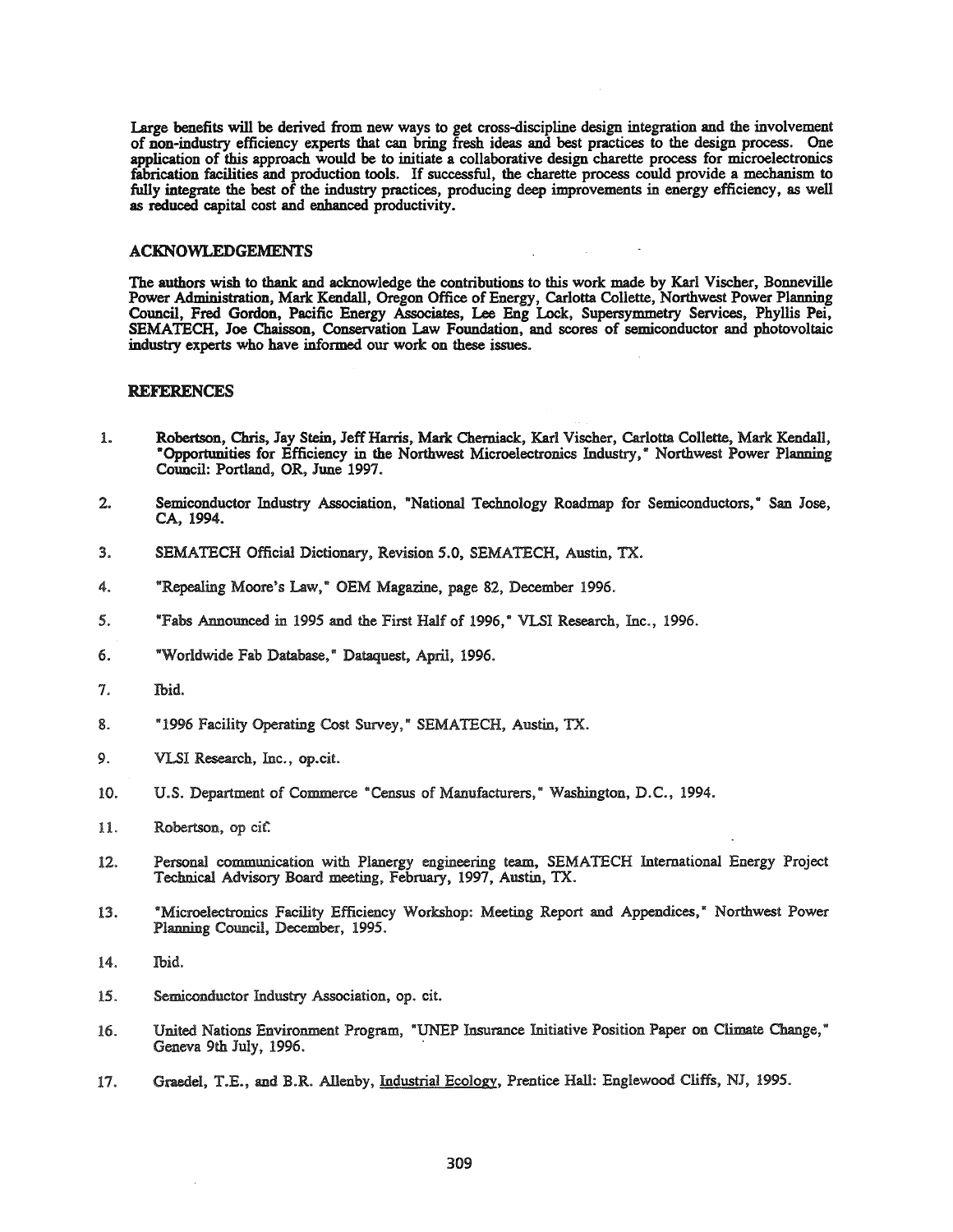Large benefits will be derived from new ways to get cross-discipline design integration and the involvement of non-industry efficiency experts that can bring fresh ideas and best practices to the design process. One application of this approach would be to initiate a collaborative design charette process for microelectronics fabrication facilities and production tools. Ifsuccessful, the charette process could provide a mechanism to fully integrate the best of the industry practices, producing deep improvements in energy efficiency, as well as reduced capital cost and enhanced productivity.

### ACKNOWLEDGEMENTS

The authors wish to thank and acknowledge the contributions to this work made by Karl Vischer, Bonneville Power Administration, Mark Kendall, Oregon Office of Energy, Carlotta Collette, Northwest Power Planning Council, Fred Gordon, Pacific Energy Associates, Lee Eng Lock, Supersymmetry Services, Phyllis Pei, SEMATECH, Joe Chaisson, Conservation Law Foundation, and scores of semiconductor and photovoltaic industry experts who have informed our work on these issues.

## REFERENCES

- 1. Robertson, Chris, Jay Stein, Jeff Harris, Mark Cherniack, Karl Vischer, Carlotta Collette, Mark Kendall, "Opportunities for Efficiency in the Northwest Microelectronics Industry," Northwest Power Planning Council: Portland, OR, June 1997.
- 2. Semiconductor Industry Association, "National Technology Roadmap for Semiconductors," San Jose, CA,1994.
- 3. SEMATECH Official Dictionary, Revision 5.0, SEMATECH, Austin, TX.
- 4. "Repealing Moore's Law," OEM Magazine, page 82, December 1996.
- 5. "Fabs Announced in 1995 and the First Half of 1996," VLSI Research, Inc., 1996.
- 6. "Worldwide Fab Database," Dataquest, April, 1996.
- 7. Ibid.
- 8. "1996 Facility Operating Cost Survey," SEMATECH, Austin, TX.
- 9. VLSI Research, Inc., op.cit.
- 10. U.S. Department of Commerce "Census of Manufacturers," Washington, D.C., 1994.
- 11. Robertson, op cit.
- 12. Personal communication with Planergy engineering team, SEMATECH International Energy Project Technical Advisory Board meeting, February, 1997, Austin, TX.
- 13. "Microelectronics Facility Efficiency Workshop: Meeting Report and Appendices," Northwest Power Planning Council, December, 1995.
- 14. Ibid.
- 15. Semiconductor Industry Association, op. cit.
- 16. United Nations Environment Program, "UNEP Insurance Initiative Position Paper on Climate Change," Geneva 9th July, 1996. .
- 17. Grnedel, T.E., and B.R. AIlenby, Industrial Ecology. Prentice Hall: Englewood Cliffs, *NI, 1995.*